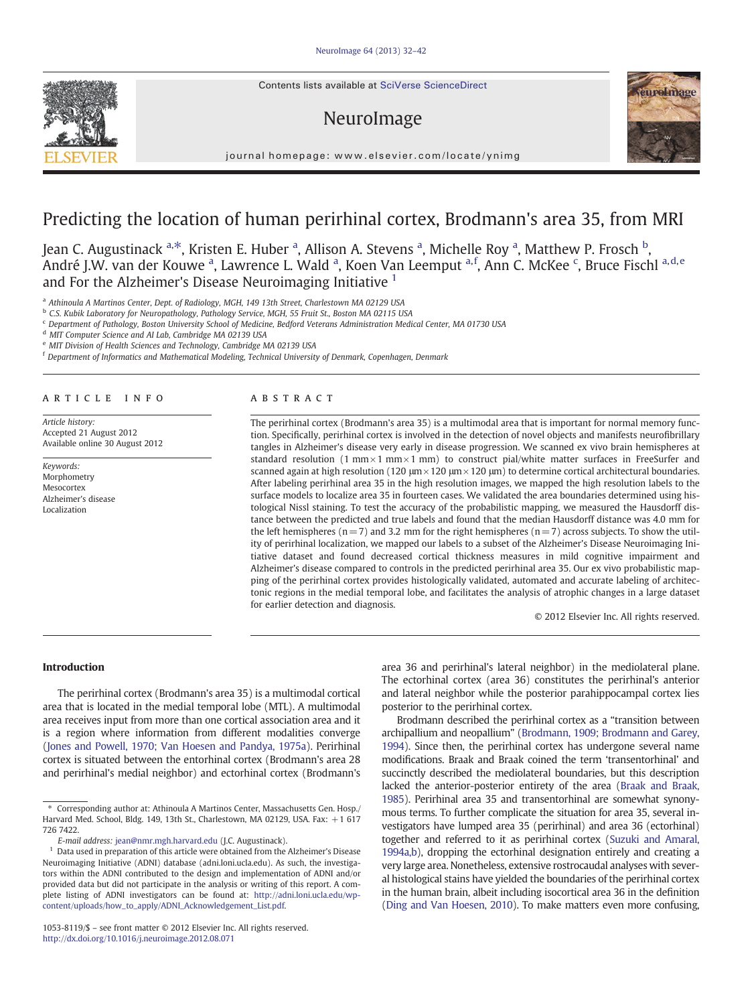Contents lists available at SciVerse ScienceDirect

# NeuroImage



journal homepage: www.elsevier.com/locate/ynimg

# Predicting the location of human perirhinal cortex, Brodmann's area 35, from MRI

Jean C. Augustinack <sup>a,\*</sup>, Kristen E. Huber <sup>a</sup>, Allison A. Stevens <sup>a</sup>, Michelle Roy <sup>a</sup>, Matthew P. Frosch <sup>b</sup>, André J.W. van der Kouwe <sup>a</sup>, Lawrence L. Wald <sup>a</sup>, Koen Van Leemput <sup>a, f</sup>, Ann C. McKee <sup>c</sup>, Bruce Fischl <sup>a, d, e</sup> and For the Alzheimer's Disease Neuroimaging Initiative  $1$ 

<sup>a</sup> Athinoula A Martinos Center, Dept. of Radiology, MGH, 149 13th Street, Charlestown MA 02129 USA

<sup>b</sup> C.S. Kubik Laboratory for Neuropathology, Pathology Service, MGH, 55 Fruit St., Boston MA 02115 USA

<sup>c</sup> Department of Pathology, Boston University School of Medicine, Bedford Veterans Administration Medical Center, MA 01730 USA

<sup>d</sup> MIT Computer Science and AI Lab, Cambridge MA 02139 USA

MIT Division of Health Sciences and Technology, Cambridge MA 02139 USA

<sup>f</sup> Department of Informatics and Mathematical Modeling, Technical University of Denmark, Copenhagen, Denmark

#### article info abstract

Article history: Accepted 21 August 2012 Available online 30 August 2012

Keywords: Morphometry Mesocortex Alzheimer's disease Localization

The perirhinal cortex (Brodmann's area 35) is a multimodal area that is important for normal memory function. Specifically, perirhinal cortex is involved in the detection of novel objects and manifests neurofibrillary tangles in Alzheimer's disease very early in disease progression. We scanned ex vivo brain hemispheres at standard resolution (1 mm $\times$ 1 mm $\times$ 1 mm) to construct pial/white matter surfaces in FreeSurfer and scanned again at high resolution (120 μm × 120 μm × 120 μm) to determine cortical architectural boundaries. After labeling perirhinal area 35 in the high resolution images, we mapped the high resolution labels to the surface models to localize area 35 in fourteen cases. We validated the area boundaries determined using histological Nissl staining. To test the accuracy of the probabilistic mapping, we measured the Hausdorff distance between the predicted and true labels and found that the median Hausdorff distance was 4.0 mm for the left hemispheres ( $n= 7$ ) and 3.2 mm for the right hemispheres ( $n=7$ ) across subjects. To show the utility of perirhinal localization, we mapped our labels to a subset of the Alzheimer's Disease Neuroimaging Initiative dataset and found decreased cortical thickness measures in mild cognitive impairment and Alzheimer's disease compared to controls in the predicted perirhinal area 35. Our ex vivo probabilistic mapping of the perirhinal cortex provides histologically validated, automated and accurate labeling of architectonic regions in the medial temporal lobe, and facilitates the analysis of atrophic changes in a large dataset for earlier detection and diagnosis.

© 2012 Elsevier Inc. All rights reserved.

#### Introduction

The perirhinal cortex (Brodmann's area 35) is a multimodal cortical area that is located in the medial temporal lobe (MTL). A multimodal area receives input from more than one cortical association area and it is a region where information from different modalities converge [\(Jones and Powell, 1970; Van Hoesen and Pandya, 1975a\)](#page-9-0). Perirhinal cortex is situated between the entorhinal cortex (Brodmann's area 28 and perirhinal's medial neighbor) and ectorhinal cortex (Brodmann's area 36 and perirhinal's lateral neighbor) in the mediolateral plane. The ectorhinal cortex (area 36) constitutes the perirhinal's anterior and lateral neighbor while the posterior parahippocampal cortex lies posterior to the perirhinal cortex.

Brodmann described the perirhinal cortex as a "transition between archipallium and neopallium" [\(Brodmann, 1909; Brodmann and Garey,](#page-9-0) [1994](#page-9-0)). Since then, the perirhinal cortex has undergone several name modifications. Braak and Braak coined the term 'transentorhinal' and succinctly described the mediolateral boundaries, but this description lacked the anterior-posterior entirety of the area [\(Braak and Braak,](#page-9-0) [1985](#page-9-0)). Perirhinal area 35 and transentorhinal are somewhat synonymous terms. To further complicate the situation for area 35, several investigators have lumped area 35 (perirhinal) and area 36 (ectorhinal) together and referred to it as perirhinal cortex ([Suzuki and Amaral,](#page-10-0) [1994a,b](#page-10-0)), dropping the ectorhinal designation entirely and creating a very large area. Nonetheless, extensive rostrocaudal analyses with several histological stains have yielded the boundaries of the perirhinal cortex in the human brain, albeit including isocortical area 36 in the definition [\(Ding and Van Hoesen, 2010\)](#page-9-0). To make matters even more confusing,



<sup>⁎</sup> Corresponding author at: Athinoula A Martinos Center, Massachusetts Gen. Hosp./ Harvard Med. School, Bldg. 149, 13th St., Charlestown, MA 02129, USA. Fax: +1 617 726 7422.

E-mail address: [jean@nmr.mgh.harvard.edu](mailto:jean@nmr.mgh.harvard.edu) (J.C. Augustinack).

<sup>1</sup> Data used in preparation of this article were obtained from the Alzheimer's Disease Neuroimaging Initiative (ADNI) database (adni.loni.ucla.edu). As such, the investigators within the ADNI contributed to the design and implementation of ADNI and/or provided data but did not participate in the analysis or writing of this report. A complete listing of ADNI investigators can be found at: [http://adni.loni.ucla.edu/wp](http://adni.loni.ucla.edu/wp-content/uploads/how_to_apply/ADNI_Acknowledgement_List.pdf)[content/uploads/how\\_to\\_apply/ADNI\\_Acknowledgement\\_List.pdf.](http://adni.loni.ucla.edu/wp-content/uploads/how_to_apply/ADNI_Acknowledgement_List.pdf)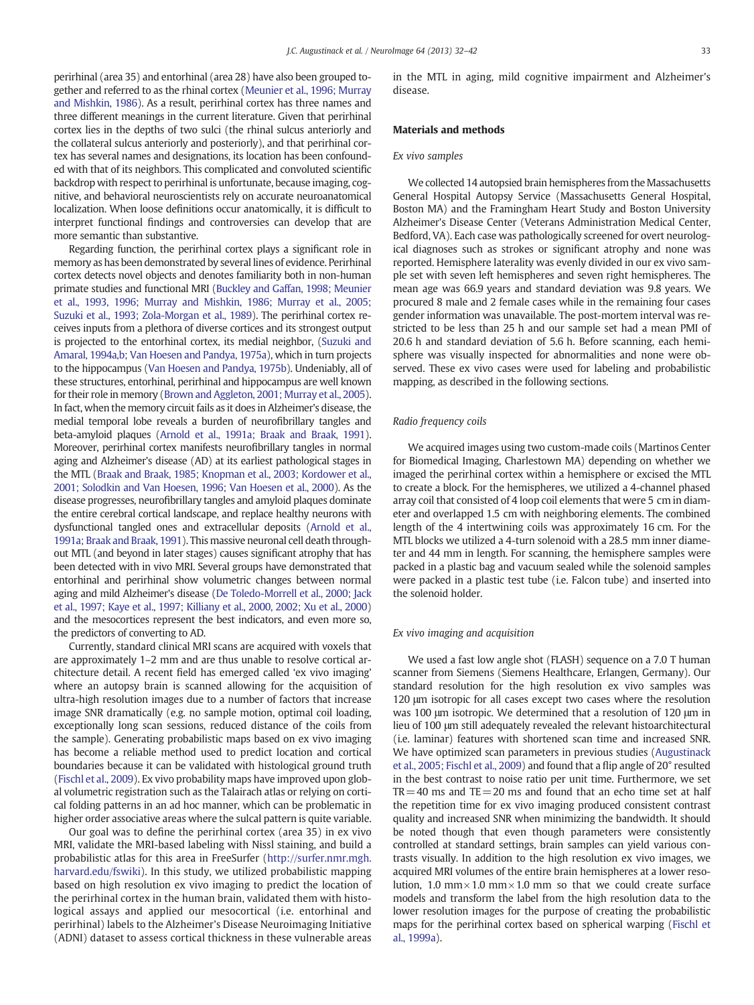perirhinal (area 35) and entorhinal (area 28) have also been grouped together and referred to as the rhinal cortex ([Meunier et al., 1996; Murray](#page-9-0) [and Mishkin, 1986\)](#page-9-0). As a result, perirhinal cortex has three names and three different meanings in the current literature. Given that perirhinal cortex lies in the depths of two sulci (the rhinal sulcus anteriorly and the collateral sulcus anteriorly and posteriorly), and that perirhinal cortex has several names and designations, its location has been confounded with that of its neighbors. This complicated and convoluted scientific backdrop with respect to perirhinal is unfortunate, because imaging, cognitive, and behavioral neuroscientists rely on accurate neuroanatomical localization. When loose definitions occur anatomically, it is difficult to interpret functional findings and controversies can develop that are more semantic than substantive.

Regarding function, the perirhinal cortex plays a significant role in memory as has been demonstrated by several lines of evidence. Perirhinal cortex detects novel objects and denotes familiarity both in non-human primate studies and functional MRI [\(Buckley and Gaffan, 1998; Meunier](#page-9-0) [et al., 1993, 1996; Murray and Mishkin, 1986; Murray et al., 2005;](#page-9-0) [Suzuki et al., 1993; Zola-Morgan et al., 1989\)](#page-9-0). The perirhinal cortex receives inputs from a plethora of diverse cortices and its strongest output is projected to the entorhinal cortex, its medial neighbor, [\(Suzuki and](#page-10-0) [Amaral, 1994a,b; Van Hoesen and Pandya, 1975a\)](#page-10-0), which in turn projects to the hippocampus [\(Van Hoesen and Pandya, 1975b](#page-10-0)). Undeniably, all of these structures, entorhinal, perirhinal and hippocampus are well known for their role in memory ([Brown and Aggleton, 2001; Murray et al., 2005](#page-9-0)). In fact, when the memory circuit fails as it does in Alzheimer's disease, the medial temporal lobe reveals a burden of neurofibrillary tangles and beta-amyloid plaques ([Arnold et al., 1991a; Braak and Braak, 1991](#page-9-0)). Moreover, perirhinal cortex manifests neurofibrillary tangles in normal aging and Alzheimer's disease (AD) at its earliest pathological stages in the MTL ([Braak and Braak, 1985; Knopman et al., 2003; Kordower et al.,](#page-9-0) [2001; Solodkin and Van Hoesen, 1996; Van Hoesen et al., 2000\)](#page-9-0). As the disease progresses, neurofibrillary tangles and amyloid plaques dominate the entire cerebral cortical landscape, and replace healthy neurons with dysfunctional tangled ones and extracellular deposits [\(Arnold et al.,](#page-9-0) [1991a; Braak and Braak, 1991\)](#page-9-0). This massive neuronal cell death throughout MTL (and beyond in later stages) causes significant atrophy that has been detected with in vivo MRI. Several groups have demonstrated that entorhinal and perirhinal show volumetric changes between normal aging and mild Alzheimer's disease ([De Toledo-Morrell et al., 2000; Jack](#page-9-0) [et al., 1997; Kaye et al., 1997; Killiany et al., 2000, 2002; Xu et al., 2000](#page-9-0)) and the mesocortices represent the best indicators, and even more so, the predictors of converting to AD.

Currently, standard clinical MRI scans are acquired with voxels that are approximately 1–2 mm and are thus unable to resolve cortical architecture detail. A recent field has emerged called 'ex vivo imaging' where an autopsy brain is scanned allowing for the acquisition of ultra-high resolution images due to a number of factors that increase image SNR dramatically (e.g. no sample motion, optimal coil loading, exceptionally long scan sessions, reduced distance of the coils from the sample). Generating probabilistic maps based on ex vivo imaging has become a reliable method used to predict location and cortical boundaries because it can be validated with histological ground truth [\(Fischl et al., 2009](#page-9-0)). Ex vivo probability maps have improved upon global volumetric registration such as the Talairach atlas or relying on cortical folding patterns in an ad hoc manner, which can be problematic in higher order associative areas where the sulcal pattern is quite variable.

Our goal was to define the perirhinal cortex (area 35) in ex vivo MRI, validate the MRI-based labeling with Nissl staining, and build a probabilistic atlas for this area in FreeSurfer [\(http://surfer.nmr.mgh.](http://surfer.nmr.mgh.harvard.edu/fswiki) [harvard.edu/fswiki](http://surfer.nmr.mgh.harvard.edu/fswiki)). In this study, we utilized probabilistic mapping based on high resolution ex vivo imaging to predict the location of the perirhinal cortex in the human brain, validated them with histological assays and applied our mesocortical (i.e. entorhinal and perirhinal) labels to the Alzheimer's Disease Neuroimaging Initiative (ADNI) dataset to assess cortical thickness in these vulnerable areas

in the MTL in aging, mild cognitive impairment and Alzheimer's disease.

#### Materials and methods

#### Ex vivo samples

We collected 14 autopsied brain hemispheres from the Massachusetts General Hospital Autopsy Service (Massachusetts General Hospital, Boston MA) and the Framingham Heart Study and Boston University Alzheimer's Disease Center (Veterans Administration Medical Center, Bedford, VA). Each case was pathologically screened for overt neurological diagnoses such as strokes or significant atrophy and none was reported. Hemisphere laterality was evenly divided in our ex vivo sample set with seven left hemispheres and seven right hemispheres. The mean age was 66.9 years and standard deviation was 9.8 years. We procured 8 male and 2 female cases while in the remaining four cases gender information was unavailable. The post-mortem interval was restricted to be less than 25 h and our sample set had a mean PMI of 20.6 h and standard deviation of 5.6 h. Before scanning, each hemisphere was visually inspected for abnormalities and none were observed. These ex vivo cases were used for labeling and probabilistic mapping, as described in the following sections.

#### Radio frequency coils

We acquired images using two custom-made coils (Martinos Center for Biomedical Imaging, Charlestown MA) depending on whether we imaged the perirhinal cortex within a hemisphere or excised the MTL to create a block. For the hemispheres, we utilized a 4-channel phased array coil that consisted of 4 loop coil elements that were 5 cm in diameter and overlapped 1.5 cm with neighboring elements. The combined length of the 4 intertwining coils was approximately 16 cm. For the MTL blocks we utilized a 4-turn solenoid with a 28.5 mm inner diameter and 44 mm in length. For scanning, the hemisphere samples were packed in a plastic bag and vacuum sealed while the solenoid samples were packed in a plastic test tube (i.e. Falcon tube) and inserted into the solenoid holder.

#### Ex vivo imaging and acquisition

We used a fast low angle shot (FLASH) sequence on a 7.0 T human scanner from Siemens (Siemens Healthcare, Erlangen, Germany). Our standard resolution for the high resolution ex vivo samples was 120 μm isotropic for all cases except two cases where the resolution was 100 μm isotropic. We determined that a resolution of 120 μm in lieu of 100 μm still adequately revealed the relevant histoarchitectural (i.e. laminar) features with shortened scan time and increased SNR. We have optimized scan parameters in previous studies ([Augustinack](#page-9-0) [et al., 2005; Fischl et al., 2009\)](#page-9-0) and found that a flip angle of 20° resulted in the best contrast to noise ratio per unit time. Furthermore, we set  $TR=40$  ms and  $TE=20$  ms and found that an echo time set at half the repetition time for ex vivo imaging produced consistent contrast quality and increased SNR when minimizing the bandwidth. It should be noted though that even though parameters were consistently controlled at standard settings, brain samples can yield various contrasts visually. In addition to the high resolution ex vivo images, we acquired MRI volumes of the entire brain hemispheres at a lower resolution, 1.0 mm $\times$ 1.0 mm $\times$ 1.0 mm so that we could create surface models and transform the label from the high resolution data to the lower resolution images for the purpose of creating the probabilistic maps for the perirhinal cortex based on spherical warping [\(Fischl et](#page-9-0) [al., 1999a](#page-9-0)).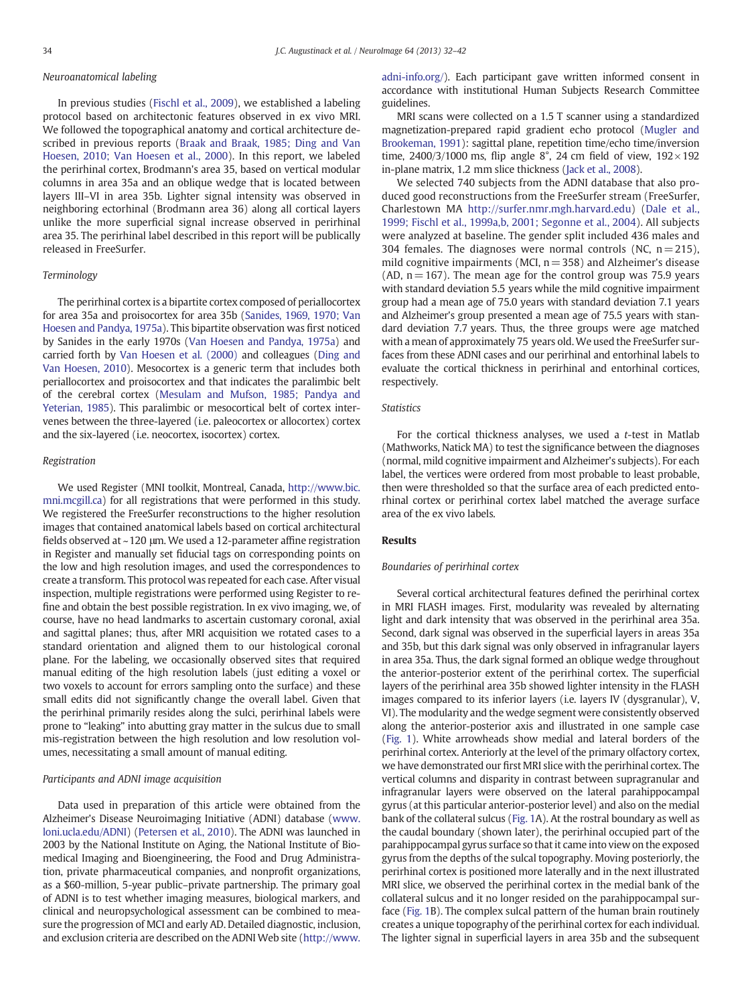## Neuroanatomical labeling

In previous studies [\(Fischl et al., 2009\)](#page-9-0), we established a labeling protocol based on architectonic features observed in ex vivo MRI. We followed the topographical anatomy and cortical architecture described in previous reports [\(Braak and Braak, 1985; Ding and Van](#page-9-0) [Hoesen, 2010; Van Hoesen et al., 2000](#page-9-0)). In this report, we labeled the perirhinal cortex, Brodmann's area 35, based on vertical modular columns in area 35a and an oblique wedge that is located between layers III–VI in area 35b. Lighter signal intensity was observed in neighboring ectorhinal (Brodmann area 36) along all cortical layers unlike the more superficial signal increase observed in perirhinal area 35. The perirhinal label described in this report will be publically released in FreeSurfer.

#### Terminology

The perirhinal cortex is a bipartite cortex composed of periallocortex for area 35a and proisocortex for area 35b ([Sanides, 1969, 1970; Van](#page-10-0) [Hoesen and Pandya, 1975a\)](#page-10-0). This bipartite observation was first noticed by Sanides in the early 1970s [\(Van Hoesen and Pandya, 1975a\)](#page-10-0) and carried forth by [Van Hoesen et al. \(2000\)](#page-10-0) and colleagues [\(Ding and](#page-9-0) [Van Hoesen, 2010\)](#page-9-0). Mesocortex is a generic term that includes both periallocortex and proisocortex and that indicates the paralimbic belt of the cerebral cortex [\(Mesulam and Mufson, 1985; Pandya and](#page-9-0) [Yeterian, 1985](#page-9-0)). This paralimbic or mesocortical belt of cortex intervenes between the three-layered (i.e. paleocortex or allocortex) cortex and the six-layered (i.e. neocortex, isocortex) cortex.

#### Registration

We used Register (MNI toolkit, Montreal, Canada, [http://www.bic.](http://www.bic.mni.mcgill.ca) [mni.mcgill.ca\)](http://www.bic.mni.mcgill.ca) for all registrations that were performed in this study. We registered the FreeSurfer reconstructions to the higher resolution images that contained anatomical labels based on cortical architectural fields observed at ~120 μm. We used a 12-parameter affine registration in Register and manually set fiducial tags on corresponding points on the low and high resolution images, and used the correspondences to create a transform. This protocol was repeated for each case. After visual inspection, multiple registrations were performed using Register to refine and obtain the best possible registration. In ex vivo imaging, we, of course, have no head landmarks to ascertain customary coronal, axial and sagittal planes; thus, after MRI acquisition we rotated cases to a standard orientation and aligned them to our histological coronal plane. For the labeling, we occasionally observed sites that required manual editing of the high resolution labels (just editing a voxel or two voxels to account for errors sampling onto the surface) and these small edits did not significantly change the overall label. Given that the perirhinal primarily resides along the sulci, perirhinal labels were prone to "leaking" into abutting gray matter in the sulcus due to small mis-registration between the high resolution and low resolution volumes, necessitating a small amount of manual editing.

#### Participants and ADNI image acquisition

Data used in preparation of this article were obtained from the Alzheimer's Disease Neuroimaging Initiative (ADNI) database ([www.](http://www.loni.ucla.edu/ADNI) [loni.ucla.edu/ADNI](http://www.loni.ucla.edu/ADNI)) [\(Petersen et al., 2010\)](#page-10-0). The ADNI was launched in 2003 by the National Institute on Aging, the National Institute of Biomedical Imaging and Bioengineering, the Food and Drug Administration, private pharmaceutical companies, and nonprofit organizations, as a \$60-million, 5-year public–private partnership. The primary goal of ADNI is to test whether imaging measures, biological markers, and clinical and neuropsychological assessment can be combined to measure the progression of MCI and early AD. Detailed diagnostic, inclusion, and exclusion criteria are described on the ADNI Web site ([http://www.](http://www.adni-info.org/) [adni-info.org/](http://www.adni-info.org/)). Each participant gave written informed consent in accordance with institutional Human Subjects Research Committee guidelines.

MRI scans were collected on a 1.5 T scanner using a standardized magnetization-prepared rapid gradient echo protocol [\(Mugler and](#page-10-0) [Brookeman, 1991](#page-10-0)): sagittal plane, repetition time/echo time/inversion time, 2400/3/1000 ms, flip angle 8°, 24 cm field of view,  $192 \times 192$ in-plane matrix, 1.2 mm slice thickness [\(Jack et al., 2008](#page-9-0)).

We selected 740 subjects from the ADNI database that also produced good reconstructions from the FreeSurfer stream (FreeSurfer, Charlestown MA [http://surfer.nmr.mgh.harvard.edu\)](http://surfer.nmr.mgh.harvard.edu) [\(Dale et al.,](#page-9-0) [1999; Fischl et al., 1999a,b, 2001; Segonne et al., 2004\)](#page-9-0). All subjects were analyzed at baseline. The gender split included 436 males and 304 females. The diagnoses were normal controls (NC,  $n = 215$ ), mild cognitive impairments (MCI,  $n = 358$ ) and Alzheimer's disease (AD,  $n = 167$ ). The mean age for the control group was 75.9 years with standard deviation 5.5 years while the mild cognitive impairment group had a mean age of 75.0 years with standard deviation 7.1 years and Alzheimer's group presented a mean age of 75.5 years with standard deviation 7.7 years. Thus, the three groups were age matched with a mean of approximately 75 years old. We used the FreeSurfer surfaces from these ADNI cases and our perirhinal and entorhinal labels to evaluate the cortical thickness in perirhinal and entorhinal cortices, respectively.

#### **Statistics**

For the cortical thickness analyses, we used a  $t$ -test in Matlab (Mathworks, Natick MA) to test the significance between the diagnoses (normal, mild cognitive impairment and Alzheimer's subjects). For each label, the vertices were ordered from most probable to least probable, then were thresholded so that the surface area of each predicted entorhinal cortex or perirhinal cortex label matched the average surface area of the ex vivo labels.

#### Results

#### Boundaries of perirhinal cortex

Several cortical architectural features defined the perirhinal cortex in MRI FLASH images. First, modularity was revealed by alternating light and dark intensity that was observed in the perirhinal area 35a. Second, dark signal was observed in the superficial layers in areas 35a and 35b, but this dark signal was only observed in infragranular layers in area 35a. Thus, the dark signal formed an oblique wedge throughout the anterior-posterior extent of the perirhinal cortex. The superficial layers of the perirhinal area 35b showed lighter intensity in the FLASH images compared to its inferior layers (i.e. layers IV (dysgranular), V, VI). The modularity and the wedge segment were consistently observed along the anterior-posterior axis and illustrated in one sample case [\(Fig. 1](#page-3-0)). White arrowheads show medial and lateral borders of the perirhinal cortex. Anteriorly at the level of the primary olfactory cortex, we have demonstrated our first MRI slice with the perirhinal cortex. The vertical columns and disparity in contrast between supragranular and infragranular layers were observed on the lateral parahippocampal gyrus (at this particular anterior-posterior level) and also on the medial bank of the collateral sulcus ([Fig. 1](#page-3-0)A). At the rostral boundary as well as the caudal boundary (shown later), the perirhinal occupied part of the parahippocampal gyrus surface so that it came into view on the exposed gyrus from the depths of the sulcal topography. Moving posteriorly, the perirhinal cortex is positioned more laterally and in the next illustrated MRI slice, we observed the perirhinal cortex in the medial bank of the collateral sulcus and it no longer resided on the parahippocampal surface [\(Fig. 1B](#page-3-0)). The complex sulcal pattern of the human brain routinely creates a unique topography of the perirhinal cortex for each individual. The lighter signal in superficial layers in area 35b and the subsequent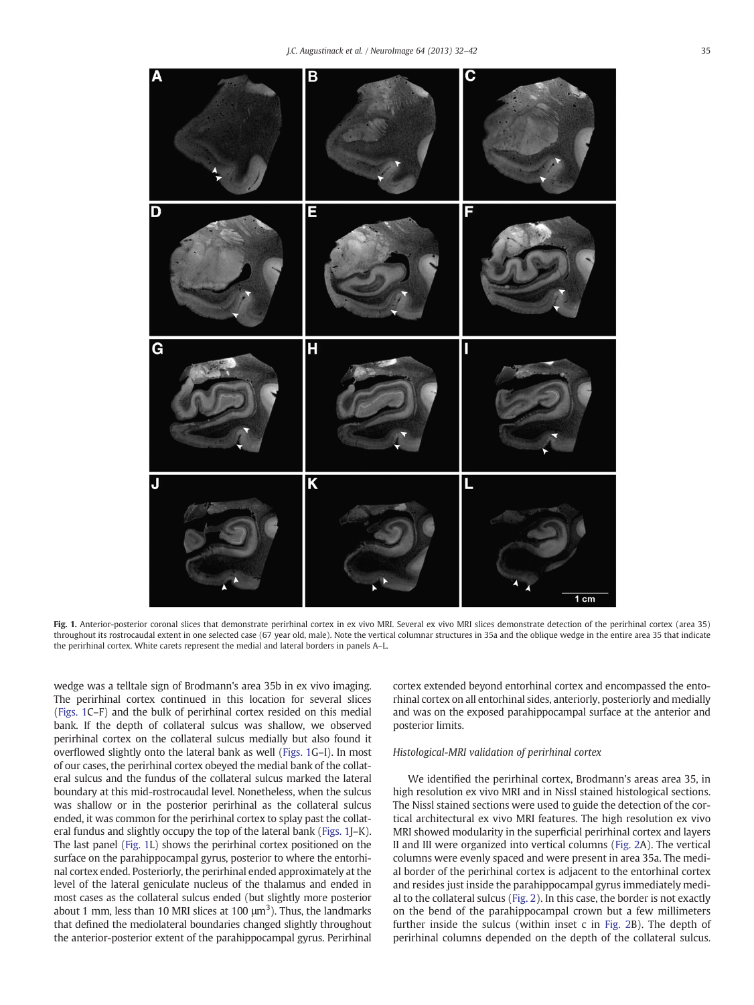<span id="page-3-0"></span>

Fig. 1. Anterior-posterior coronal slices that demonstrate perirhinal cortex in ex vivo MRI. Several ex vivo MRI slices demonstrate detection of the perirhinal cortex (area 35) throughout its rostrocaudal extent in one selected case (67 year old, male). Note the vertical columnar structures in 35a and the oblique wedge in the entire area 35 that indicate the perirhinal cortex. White carets represent the medial and lateral borders in panels A–L.

wedge was a telltale sign of Brodmann's area 35b in ex vivo imaging. The perirhinal cortex continued in this location for several slices (Figs. 1C–F) and the bulk of perirhinal cortex resided on this medial bank. If the depth of collateral sulcus was shallow, we observed perirhinal cortex on the collateral sulcus medially but also found it overflowed slightly onto the lateral bank as well (Figs. 1G–I). In most of our cases, the perirhinal cortex obeyed the medial bank of the collateral sulcus and the fundus of the collateral sulcus marked the lateral boundary at this mid-rostrocaudal level. Nonetheless, when the sulcus was shallow or in the posterior perirhinal as the collateral sulcus ended, it was common for the perirhinal cortex to splay past the collateral fundus and slightly occupy the top of the lateral bank (Figs. 1J–K). The last panel (Fig. 1L) shows the perirhinal cortex positioned on the surface on the parahippocampal gyrus, posterior to where the entorhinal cortex ended. Posteriorly, the perirhinal ended approximately at the level of the lateral geniculate nucleus of the thalamus and ended in most cases as the collateral sulcus ended (but slightly more posterior about 1 mm, less than 10 MRI slices at 100  $\mu$ m<sup>3</sup>). Thus, the landmarks that defined the mediolateral boundaries changed slightly throughout the anterior-posterior extent of the parahippocampal gyrus. Perirhinal

cortex extended beyond entorhinal cortex and encompassed the entorhinal cortex on all entorhinal sides, anteriorly, posteriorly and medially and was on the exposed parahippocampal surface at the anterior and posterior limits.

### Histological-MRI validation of perirhinal cortex

We identified the perirhinal cortex, Brodmann's areas area 35, in high resolution ex vivo MRI and in Nissl stained histological sections. The Nissl stained sections were used to guide the detection of the cortical architectural ex vivo MRI features. The high resolution ex vivo MRI showed modularity in the superficial perirhinal cortex and layers II and III were organized into vertical columns [\(Fig. 2A](#page-4-0)). The vertical columns were evenly spaced and were present in area 35a. The medial border of the perirhinal cortex is adjacent to the entorhinal cortex and resides just inside the parahippocampal gyrus immediately medial to the collateral sulcus ([Fig. 2\)](#page-4-0). In this case, the border is not exactly on the bend of the parahippocampal crown but a few millimeters further inside the sulcus (within inset c in [Fig. 2B](#page-4-0)). The depth of perirhinal columns depended on the depth of the collateral sulcus.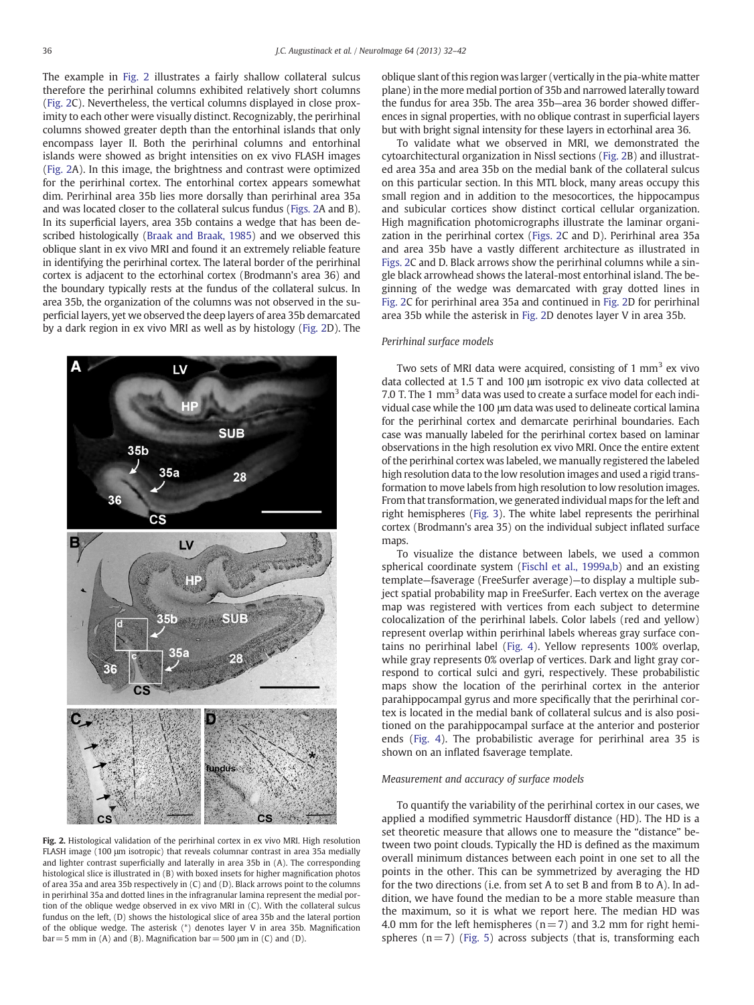<span id="page-4-0"></span>The example in Fig. 2 illustrates a fairly shallow collateral sulcus therefore the perirhinal columns exhibited relatively short columns (Fig. 2C). Nevertheless, the vertical columns displayed in close proximity to each other were visually distinct. Recognizably, the perirhinal columns showed greater depth than the entorhinal islands that only encompass layer II. Both the perirhinal columns and entorhinal islands were showed as bright intensities on ex vivo FLASH images (Fig. 2A). In this image, the brightness and contrast were optimized for the perirhinal cortex. The entorhinal cortex appears somewhat dim. Perirhinal area 35b lies more dorsally than perirhinal area 35a and was located closer to the collateral sulcus fundus (Figs. 2A and B). In its superficial layers, area 35b contains a wedge that has been described histologically [\(Braak and Braak, 1985\)](#page-9-0) and we observed this oblique slant in ex vivo MRI and found it an extremely reliable feature in identifying the perirhinal cortex. The lateral border of the perirhinal cortex is adjacent to the ectorhinal cortex (Brodmann's area 36) and the boundary typically rests at the fundus of the collateral sulcus. In area 35b, the organization of the columns was not observed in the superficial layers, yet we observed the deep layers of area 35b demarcated by a dark region in ex vivo MRI as well as by histology (Fig. 2D). The



Fig. 2. Histological validation of the perirhinal cortex in ex vivo MRI. High resolution FLASH image (100 μm isotropic) that reveals columnar contrast in area 35a medially and lighter contrast superficially and laterally in area 35b in (A). The corresponding histological slice is illustrated in (B) with boxed insets for higher magnification photos of area 35a and area 35b respectively in (C) and (D). Black arrows point to the columns in perirhinal 35a and dotted lines in the infragranular lamina represent the medial portion of the oblique wedge observed in ex vivo MRI in (C). With the collateral sulcus fundus on the left, (D) shows the histological slice of area 35b and the lateral portion of the oblique wedge. The asterisk (\*) denotes layer V in area 35b. Magnification  $bar=5$  mm in (A) and (B). Magnification bar = 500  $\mu$ m in (C) and (D).

oblique slant of this region was larger (vertically in the pia-white matter plane) in the more medial portion of 35b and narrowed laterally toward the fundus for area 35b. The area 35b—area 36 border showed differences in signal properties, with no oblique contrast in superficial layers but with bright signal intensity for these layers in ectorhinal area 36.

To validate what we observed in MRI, we demonstrated the cytoarchitectural organization in Nissl sections (Fig. 2B) and illustrated area 35a and area 35b on the medial bank of the collateral sulcus on this particular section. In this MTL block, many areas occupy this small region and in addition to the mesocortices, the hippocampus and subicular cortices show distinct cortical cellular organization. High magnification photomicrographs illustrate the laminar organization in the perirhinal cortex (Figs. 2C and D). Perirhinal area 35a and area 35b have a vastly different architecture as illustrated in Figs. 2C and D. Black arrows show the perirhinal columns while a single black arrowhead shows the lateral-most entorhinal island. The beginning of the wedge was demarcated with gray dotted lines in Fig. 2C for perirhinal area 35a and continued in Fig. 2D for perirhinal area 35b while the asterisk in Fig. 2D denotes layer V in area 35b.

#### Perirhinal surface models

Two sets of MRI data were acquired, consisting of 1  $\text{mm}^3$  ex vivo data collected at 1.5 T and 100 μm isotropic ex vivo data collected at 7.0 T. The 1 mm<sup>3</sup> data was used to create a surface model for each individual case while the 100 μm data was used to delineate cortical lamina for the perirhinal cortex and demarcate perirhinal boundaries. Each case was manually labeled for the perirhinal cortex based on laminar observations in the high resolution ex vivo MRI. Once the entire extent of the perirhinal cortex was labeled, we manually registered the labeled high resolution data to the low resolution images and used a rigid transformation to move labels from high resolution to low resolution images. From that transformation, we generated individual maps for the left and right hemispheres [\(Fig. 3\)](#page-5-0). The white label represents the perirhinal cortex (Brodmann's area 35) on the individual subject inflated surface maps

To visualize the distance between labels, we used a common spherical coordinate system [\(Fischl et al., 1999a,b](#page-9-0)) and an existing template—fsaverage (FreeSurfer average)—to display a multiple subject spatial probability map in FreeSurfer. Each vertex on the average map was registered with vertices from each subject to determine colocalization of the perirhinal labels. Color labels (red and yellow) represent overlap within perirhinal labels whereas gray surface contains no perirhinal label ([Fig. 4](#page-5-0)). Yellow represents 100% overlap, while gray represents 0% overlap of vertices. Dark and light gray correspond to cortical sulci and gyri, respectively. These probabilistic maps show the location of the perirhinal cortex in the anterior parahippocampal gyrus and more specifically that the perirhinal cortex is located in the medial bank of collateral sulcus and is also positioned on the parahippocampal surface at the anterior and posterior ends ([Fig. 4](#page-5-0)). The probabilistic average for perirhinal area 35 is shown on an inflated fsaverage template.

#### Measurement and accuracy of surface models

To quantify the variability of the perirhinal cortex in our cases, we applied a modified symmetric Hausdorff distance (HD). The HD is a set theoretic measure that allows one to measure the "distance" between two point clouds. Typically the HD is defined as the maximum overall minimum distances between each point in one set to all the points in the other. This can be symmetrized by averaging the HD for the two directions (i.e. from set A to set B and from B to A). In addition, we have found the median to be a more stable measure than the maximum, so it is what we report here. The median HD was 4.0 mm for the left hemispheres ( $n= 7$ ) and 3.2 mm for right hemispheres  $(n= 7)$  [\(Fig. 5\)](#page-6-0) across subjects (that is, transforming each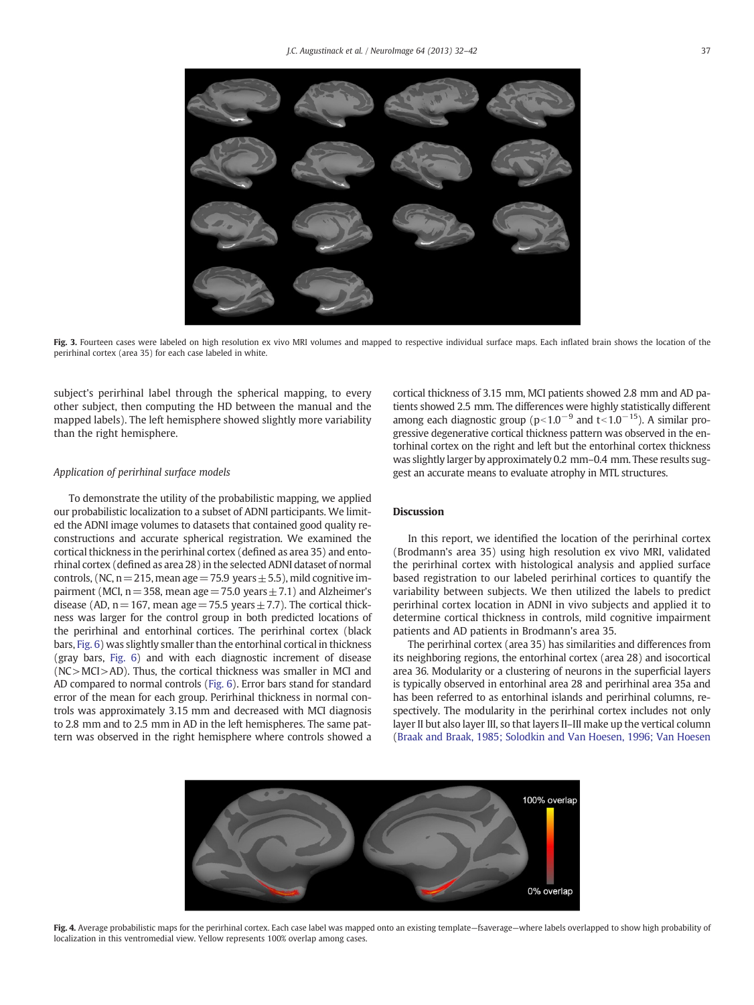<span id="page-5-0"></span>

Fig. 3. Fourteen cases were labeled on high resolution ex vivo MRI volumes and mapped to respective individual surface maps. Each inflated brain shows the location of the perirhinal cortex (area 35) for each case labeled in white.

subject's perirhinal label through the spherical mapping, to every other subject, then computing the HD between the manual and the mapped labels). The left hemisphere showed slightly more variability than the right hemisphere.

#### Application of perirhinal surface models

To demonstrate the utility of the probabilistic mapping, we applied our probabilistic localization to a subset of ADNI participants. We limited the ADNI image volumes to datasets that contained good quality reconstructions and accurate spherical registration. We examined the cortical thickness in the perirhinal cortex (defined as area 35) and entorhinal cortex (defined as area 28) in the selected ADNI dataset of normal controls, (NC,  $n=215$ , mean age = 75.9 years  $\pm$  5.5), mild cognitive impairment (MCI,  $n=358$ , mean age = 75.0 years  $\pm$  7.1) and Alzheimer's disease (AD,  $n=167$ , mean age = 75.5 years  $\pm$  7.7). The cortical thickness was larger for the control group in both predicted locations of the perirhinal and entorhinal cortices. The perirhinal cortex (black bars, [Fig. 6\)](#page-6-0) was slightly smaller than the entorhinal cortical in thickness (gray bars, [Fig. 6\)](#page-6-0) and with each diagnostic increment of disease (NC>MCI>AD). Thus, the cortical thickness was smaller in MCI and AD compared to normal controls ([Fig. 6](#page-6-0)). Error bars stand for standard error of the mean for each group. Perirhinal thickness in normal controls was approximately 3.15 mm and decreased with MCI diagnosis to 2.8 mm and to 2.5 mm in AD in the left hemispheres. The same pattern was observed in the right hemisphere where controls showed a

cortical thickness of 3.15 mm, MCI patients showed 2.8 mm and AD patients showed 2.5 mm. The differences were highly statistically different among each diagnostic group ( $p<1.0^{-9}$  and t $<1.0^{-15}$ ). A similar progressive degenerative cortical thickness pattern was observed in the entorhinal cortex on the right and left but the entorhinal cortex thickness was slightly larger by approximately 0.2 mm–0.4 mm. These results suggest an accurate means to evaluate atrophy in MTL structures.

## Discussion

In this report, we identified the location of the perirhinal cortex (Brodmann's area 35) using high resolution ex vivo MRI, validated the perirhinal cortex with histological analysis and applied surface based registration to our labeled perirhinal cortices to quantify the variability between subjects. We then utilized the labels to predict perirhinal cortex location in ADNI in vivo subjects and applied it to determine cortical thickness in controls, mild cognitive impairment patients and AD patients in Brodmann's area 35.

The perirhinal cortex (area 35) has similarities and differences from its neighboring regions, the entorhinal cortex (area 28) and isocortical area 36. Modularity or a clustering of neurons in the superficial layers is typically observed in entorhinal area 28 and perirhinal area 35a and has been referred to as entorhinal islands and perirhinal columns, respectively. The modularity in the perirhinal cortex includes not only layer II but also layer III, so that layers II–III make up the vertical column [\(Braak and Braak, 1985; Solodkin and Van Hoesen, 1996; Van Hoesen](#page-9-0)



Fig. 4. Average probabilistic maps for the perirhinal cortex. Each case label was mapped onto an existing template-fsaverage-where labels overlapped to show high probability of localization in this ventromedial view. Yellow represents 100% overlap among cases.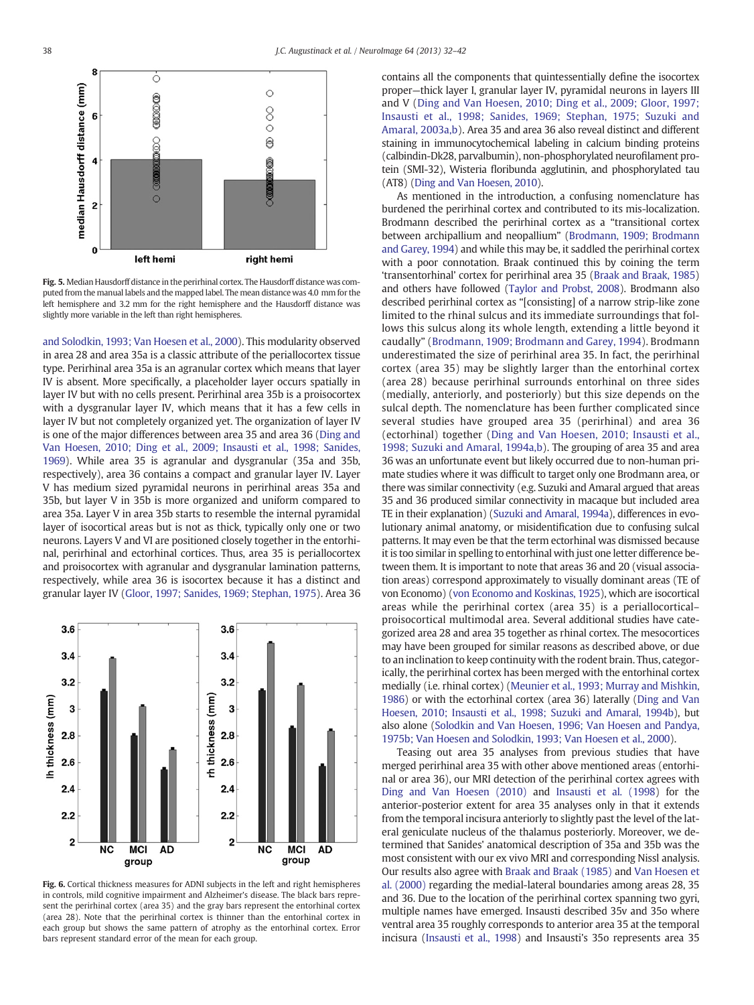<span id="page-6-0"></span>

Fig. 5. Median Hausdorff distance in the perirhinal cortex. The Hausdorff distance was computed from the manual labels and the mapped label. The mean distance was 4.0 mm for the left hemisphere and 3.2 mm for the right hemisphere and the Hausdorff distance was slightly more variable in the left than right hemispheres.

[and Solodkin, 1993; Van Hoesen et al., 2000\)](#page-9-0). This modularity observed in area 28 and area 35a is a classic attribute of the periallocortex tissue type. Perirhinal area 35a is an agranular cortex which means that layer IV is absent. More specifically, a placeholder layer occurs spatially in layer IV but with no cells present. Perirhinal area 35b is a proisocortex with a dysgranular layer IV, which means that it has a few cells in layer IV but not completely organized yet. The organization of layer IV is one of the major differences between area 35 and area 36 ([Ding and](#page-9-0) [Van Hoesen, 2010; Ding et al., 2009; Insausti et al., 1998; Sanides,](#page-9-0) [1969\)](#page-9-0). While area 35 is agranular and dysgranular (35a and 35b, respectively), area 36 contains a compact and granular layer IV. Layer V has medium sized pyramidal neurons in perirhinal areas 35a and 35b, but layer V in 35b is more organized and uniform compared to area 35a. Layer V in area 35b starts to resemble the internal pyramidal layer of isocortical areas but is not as thick, typically only one or two neurons. Layers V and VI are positioned closely together in the entorhinal, perirhinal and ectorhinal cortices. Thus, area 35 is periallocortex and proisocortex with agranular and dysgranular lamination patterns, respectively, while area 36 is isocortex because it has a distinct and granular layer IV [\(Gloor, 1997; Sanides, 1969; Stephan, 1975\)](#page-9-0). Area 36



Fig. 6. Cortical thickness measures for ADNI subjects in the left and right hemispheres in controls, mild cognitive impairment and Alzheimer's disease. The black bars represent the perirhinal cortex (area 35) and the gray bars represent the entorhinal cortex (area 28). Note that the perirhinal cortex is thinner than the entorhinal cortex in each group but shows the same pattern of atrophy as the entorhinal cortex. Error bars represent standard error of the mean for each group.

contains all the components that quintessentially define the isocortex proper—thick layer I, granular layer IV, pyramidal neurons in layers III and V ([Ding and Van Hoesen, 2010; Ding et al., 2009; Gloor, 1997;](#page-9-0) [Insausti et al., 1998; Sanides, 1969; Stephan, 1975; Suzuki and](#page-9-0) [Amaral, 2003a,b\)](#page-9-0). Area 35 and area 36 also reveal distinct and different staining in immunocytochemical labeling in calcium binding proteins (calbindin-Dk28, parvalbumin), non-phosphorylated neurofilament protein (SMI-32), Wisteria floribunda agglutinin, and phosphorylated tau (AT8) ([Ding and Van Hoesen, 2010](#page-9-0)).

As mentioned in the introduction, a confusing nomenclature has burdened the perirhinal cortex and contributed to its mis-localization. Brodmann described the perirhinal cortex as a "transitional cortex between archipallium and neopallium" ([Brodmann, 1909; Brodmann](#page-9-0) [and Garey, 1994\)](#page-9-0) and while this may be, it saddled the perirhinal cortex with a poor connotation. Braak continued this by coining the term 'transentorhinal' cortex for perirhinal area 35 [\(Braak and Braak, 1985](#page-9-0)) and others have followed [\(Taylor and Probst, 2008\)](#page-10-0). Brodmann also described perirhinal cortex as "[consisting] of a narrow strip-like zone limited to the rhinal sulcus and its immediate surroundings that follows this sulcus along its whole length, extending a little beyond it caudally" [\(Brodmann, 1909; Brodmann and Garey, 1994\)](#page-9-0). Brodmann underestimated the size of perirhinal area 35. In fact, the perirhinal cortex (area 35) may be slightly larger than the entorhinal cortex (area 28) because perirhinal surrounds entorhinal on three sides (medially, anteriorly, and posteriorly) but this size depends on the sulcal depth. The nomenclature has been further complicated since several studies have grouped area 35 (perirhinal) and area 36 (ectorhinal) together ([Ding and Van Hoesen, 2010; Insausti et al.,](#page-9-0) [1998; Suzuki and Amaral, 1994a,b\)](#page-9-0). The grouping of area 35 and area 36 was an unfortunate event but likely occurred due to non-human primate studies where it was difficult to target only one Brodmann area, or there was similar connectivity (e.g. Suzuki and Amaral argued that areas 35 and 36 produced similar connectivity in macaque but included area TE in their explanation) [\(Suzuki and Amaral, 1994a\)](#page-10-0), differences in evolutionary animal anatomy, or misidentification due to confusing sulcal patterns. It may even be that the term ectorhinal was dismissed because it is too similar in spelling to entorhinal with just one letter difference between them. It is important to note that areas 36 and 20 (visual association areas) correspond approximately to visually dominant areas (TE of von Economo) [\(von Economo and Koskinas, 1925](#page-10-0)), which are isocortical areas while the perirhinal cortex (area 35) is a periallocortical– proisocortical multimodal area. Several additional studies have categorized area 28 and area 35 together as rhinal cortex. The mesocortices may have been grouped for similar reasons as described above, or due to an inclination to keep continuity with the rodent brain. Thus, categorically, the perirhinal cortex has been merged with the entorhinal cortex medially (i.e. rhinal cortex) ([Meunier et al., 1993; Murray and Mishkin,](#page-9-0) [1986\)](#page-9-0) or with the ectorhinal cortex (area 36) laterally ([Ding and Van](#page-9-0) [Hoesen, 2010; Insausti et al., 1998; Suzuki and Amaral, 1994b](#page-9-0)), but also alone ([Solodkin and Van Hoesen, 1996; Van Hoesen and Pandya,](#page-10-0) [1975b; Van Hoesen and Solodkin, 1993; Van Hoesen et al., 2000](#page-10-0)).

Teasing out area 35 analyses from previous studies that have merged perirhinal area 35 with other above mentioned areas (entorhinal or area 36), our MRI detection of the perirhinal cortex agrees with [Ding and Van Hoesen \(2010\)](#page-9-0) and [Insausti et al. \(1998\)](#page-9-0) for the anterior-posterior extent for area 35 analyses only in that it extends from the temporal incisura anteriorly to slightly past the level of the lateral geniculate nucleus of the thalamus posteriorly. Moreover, we determined that Sanides' anatomical description of 35a and 35b was the most consistent with our ex vivo MRI and corresponding Nissl analysis. Our results also agree with [Braak and Braak \(1985\)](#page-9-0) and [Van Hoesen et](#page-10-0) [al. \(2000\)](#page-10-0) regarding the medial-lateral boundaries among areas 28, 35 and 36. Due to the location of the perirhinal cortex spanning two gyri, multiple names have emerged. Insausti described 35v and 35o where ventral area 35 roughly corresponds to anterior area 35 at the temporal incisura [\(Insausti et al., 1998](#page-9-0)) and Insausti's 35o represents area 35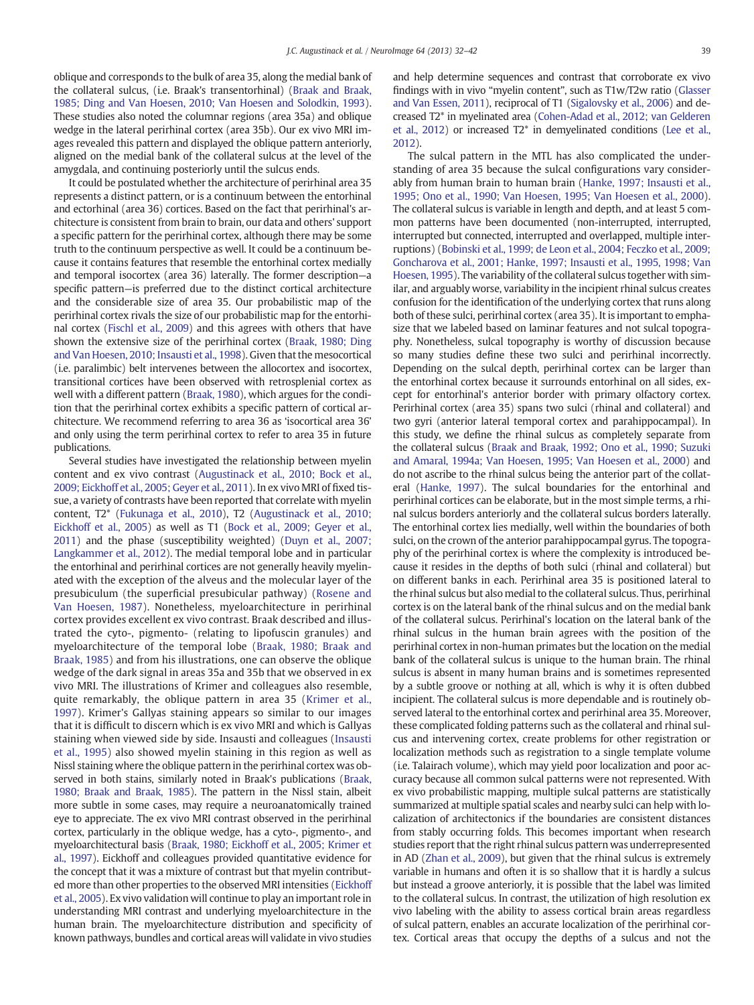oblique and corresponds to the bulk of area 35, along the medial bank of the collateral sulcus, (i.e. Braak's transentorhinal) [\(Braak and Braak,](#page-9-0) [1985; Ding and Van Hoesen, 2010; Van Hoesen and Solodkin, 1993](#page-9-0)). These studies also noted the columnar regions (area 35a) and oblique wedge in the lateral perirhinal cortex (area 35b). Our ex vivo MRI images revealed this pattern and displayed the oblique pattern anteriorly, aligned on the medial bank of the collateral sulcus at the level of the amygdala, and continuing posteriorly until the sulcus ends.

It could be postulated whether the architecture of perirhinal area 35 represents a distinct pattern, or is a continuum between the entorhinal and ectorhinal (area 36) cortices. Based on the fact that perirhinal's architecture is consistent from brain to brain, our data and others' support a specific pattern for the perirhinal cortex, although there may be some truth to the continuum perspective as well. It could be a continuum because it contains features that resemble the entorhinal cortex medially and temporal isocortex (area 36) laterally. The former description—a specific pattern—is preferred due to the distinct cortical architecture and the considerable size of area 35. Our probabilistic map of the perirhinal cortex rivals the size of our probabilistic map for the entorhinal cortex [\(Fischl et al., 2009](#page-9-0)) and this agrees with others that have shown the extensive size of the perirhinal cortex ([Braak, 1980; Ding](#page-9-0) [and Van Hoesen, 2010; Insausti et al., 1998\)](#page-9-0). Given that the mesocortical (i.e. paralimbic) belt intervenes between the allocortex and isocortex, transitional cortices have been observed with retrosplenial cortex as well with a different pattern ([Braak, 1980](#page-9-0)), which argues for the condition that the perirhinal cortex exhibits a specific pattern of cortical architecture. We recommend referring to area 36 as 'isocortical area 36' and only using the term perirhinal cortex to refer to area 35 in future publications.

Several studies have investigated the relationship between myelin content and ex vivo contrast [\(Augustinack et al., 2010; Bock et al.,](#page-9-0) [2009; Eickhoff et al., 2005; Geyer et al., 2011](#page-9-0)). In ex vivo MRI of fixed tissue, a variety of contrasts have been reported that correlate with myelin content, T2\* ([Fukunaga et al., 2010](#page-9-0)), T2 ([Augustinack et al., 2010;](#page-9-0) [Eickhoff et al., 2005](#page-9-0)) as well as T1 [\(Bock et al., 2009; Geyer et al.,](#page-9-0) [2011](#page-9-0)) and the phase (susceptibility weighted) [\(Duyn et al., 2007;](#page-9-0) [Langkammer et al., 2012](#page-9-0)). The medial temporal lobe and in particular the entorhinal and perirhinal cortices are not generally heavily myelinated with the exception of the alveus and the molecular layer of the presubiculum (the superficial presubicular pathway) ([Rosene and](#page-10-0) [Van Hoesen, 1987\)](#page-10-0). Nonetheless, myeloarchitecture in perirhinal cortex provides excellent ex vivo contrast. Braak described and illustrated the cyto-, pigmento- (relating to lipofuscin granules) and myeloarchitecture of the temporal lobe ([Braak, 1980; Braak and](#page-9-0) [Braak, 1985](#page-9-0)) and from his illustrations, one can observe the oblique wedge of the dark signal in areas 35a and 35b that we observed in ex vivo MRI. The illustrations of Krimer and colleagues also resemble, quite remarkably, the oblique pattern in area 35 ([Krimer et al.,](#page-9-0) [1997](#page-9-0)). Krimer's Gallyas staining appears so similar to our images that it is difficult to discern which is ex vivo MRI and which is Gallyas staining when viewed side by side. Insausti and colleagues ([Insausti](#page-9-0) [et al., 1995\)](#page-9-0) also showed myelin staining in this region as well as Nissl staining where the oblique pattern in the perirhinal cortex was observed in both stains, similarly noted in Braak's publications ([Braak,](#page-9-0) [1980; Braak and Braak, 1985](#page-9-0)). The pattern in the Nissl stain, albeit more subtle in some cases, may require a neuroanatomically trained eye to appreciate. The ex vivo MRI contrast observed in the perirhinal cortex, particularly in the oblique wedge, has a cyto-, pigmento-, and myeloarchitectural basis ([Braak, 1980; Eickhoff et al., 2005; Krimer et](#page-9-0) [al., 1997\)](#page-9-0). Eickhoff and colleagues provided quantitative evidence for the concept that it was a mixture of contrast but that myelin contributed more than other properties to the observed MRI intensities ([Eickhoff](#page-9-0) [et al., 2005\)](#page-9-0). Ex vivo validation will continue to play an important role in understanding MRI contrast and underlying myeloarchitecture in the human brain. The myeloarchitecture distribution and specificity of known pathways, bundles and cortical areas will validate in vivo studies

and help determine sequences and contrast that corroborate ex vivo findings with in vivo "myelin content", such as T1w/T2w ratio [\(Glasser](#page-9-0) [and Van Essen, 2011](#page-9-0)), reciprocal of T1 [\(Sigalovsky et al., 2006\)](#page-10-0) and decreased T2\* in myelinated area [\(Cohen-Adad et al., 2012; van Gelderen](#page-9-0) [et al., 2012](#page-9-0)) or increased T2\* in demyelinated conditions [\(Lee et al.,](#page-9-0) [2012](#page-9-0)).

The sulcal pattern in the MTL has also complicated the understanding of area 35 because the sulcal configurations vary considerably from human brain to human brain ([Hanke, 1997; Insausti et al.,](#page-9-0) [1995; Ono et al., 1990; Van Hoesen, 1995; Van Hoesen et al., 2000](#page-9-0)). The collateral sulcus is variable in length and depth, and at least 5 common patterns have been documented (non-interrupted, interrupted, interrupted but connected, interrupted and overlapped, multiple interruptions) [\(Bobinski et al., 1999; de Leon et al., 2004; Feczko et al., 2009;](#page-9-0) [Goncharova et al., 2001; Hanke, 1997; Insausti et al., 1995, 1998; Van](#page-9-0) [Hoesen, 1995](#page-9-0)). The variability of the collateral sulcus together with similar, and arguably worse, variability in the incipient rhinal sulcus creates confusion for the identification of the underlying cortex that runs along both of these sulci, perirhinal cortex (area 35). It is important to emphasize that we labeled based on laminar features and not sulcal topography. Nonetheless, sulcal topography is worthy of discussion because so many studies define these two sulci and perirhinal incorrectly. Depending on the sulcal depth, perirhinal cortex can be larger than the entorhinal cortex because it surrounds entorhinal on all sides, except for entorhinal's anterior border with primary olfactory cortex. Perirhinal cortex (area 35) spans two sulci (rhinal and collateral) and two gyri (anterior lateral temporal cortex and parahippocampal). In this study, we define the rhinal sulcus as completely separate from the collateral sulcus [\(Braak and Braak, 1992; Ono et al., 1990; Suzuki](#page-9-0) [and Amaral, 1994a; Van Hoesen, 1995; Van Hoesen et al., 2000\)](#page-9-0) and do not ascribe to the rhinal sulcus being the anterior part of the collateral [\(Hanke, 1997](#page-9-0)). The sulcal boundaries for the entorhinal and perirhinal cortices can be elaborate, but in the most simple terms, a rhinal sulcus borders anteriorly and the collateral sulcus borders laterally. The entorhinal cortex lies medially, well within the boundaries of both sulci, on the crown of the anterior parahippocampal gyrus. The topography of the perirhinal cortex is where the complexity is introduced because it resides in the depths of both sulci (rhinal and collateral) but on different banks in each. Perirhinal area 35 is positioned lateral to the rhinal sulcus but also medial to the collateral sulcus. Thus, perirhinal cortex is on the lateral bank of the rhinal sulcus and on the medial bank of the collateral sulcus. Perirhinal's location on the lateral bank of the rhinal sulcus in the human brain agrees with the position of the perirhinal cortex in non-human primates but the location on the medial bank of the collateral sulcus is unique to the human brain. The rhinal sulcus is absent in many human brains and is sometimes represented by a subtle groove or nothing at all, which is why it is often dubbed incipient. The collateral sulcus is more dependable and is routinely observed lateral to the entorhinal cortex and perirhinal area 35. Moreover, these complicated folding patterns such as the collateral and rhinal sulcus and intervening cortex, create problems for other registration or localization methods such as registration to a single template volume (i.e. Talairach volume), which may yield poor localization and poor accuracy because all common sulcal patterns were not represented. With ex vivo probabilistic mapping, multiple sulcal patterns are statistically summarized at multiple spatial scales and nearby sulci can help with localization of architectonics if the boundaries are consistent distances from stably occurring folds. This becomes important when research studies report that the right rhinal sulcus pattern was underrepresented in AD [\(Zhan et al., 2009\)](#page-10-0), but given that the rhinal sulcus is extremely variable in humans and often it is so shallow that it is hardly a sulcus but instead a groove anteriorly, it is possible that the label was limited to the collateral sulcus. In contrast, the utilization of high resolution ex vivo labeling with the ability to assess cortical brain areas regardless of sulcal pattern, enables an accurate localization of the perirhinal cortex. Cortical areas that occupy the depths of a sulcus and not the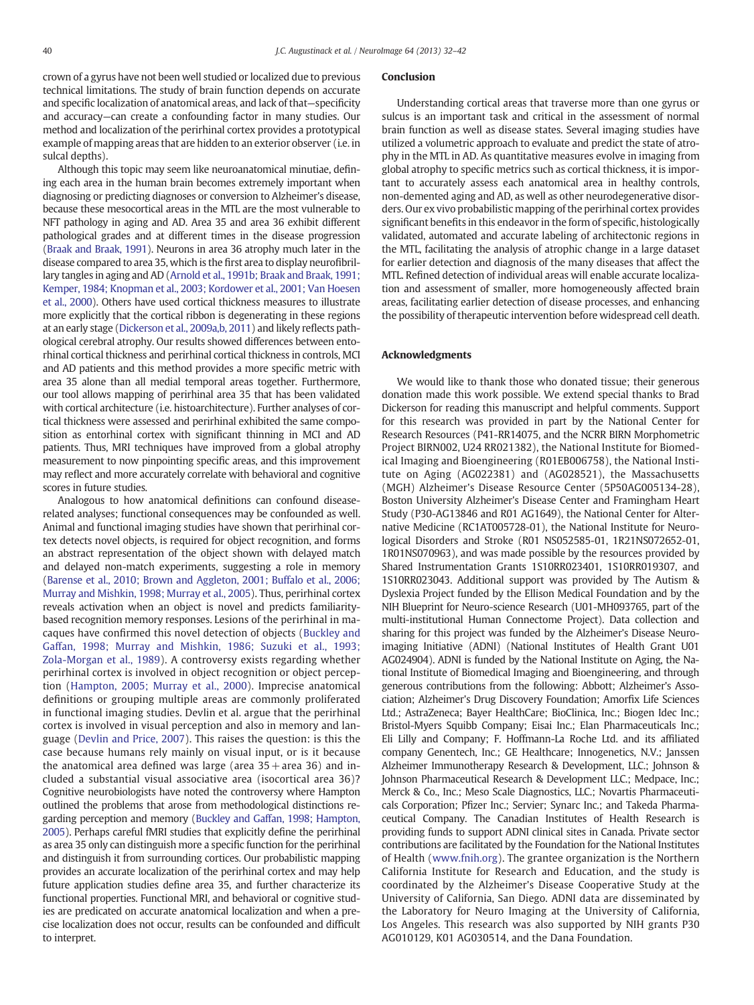crown of a gyrus have not been well studied or localized due to previous technical limitations. The study of brain function depends on accurate and specific localization of anatomical areas, and lack of that—specificity and accuracy—can create a confounding factor in many studies. Our method and localization of the perirhinal cortex provides a prototypical example of mapping areas that are hidden to an exterior observer (i.e. in sulcal depths).

Although this topic may seem like neuroanatomical minutiae, defining each area in the human brain becomes extremely important when diagnosing or predicting diagnoses or conversion to Alzheimer's disease, because these mesocortical areas in the MTL are the most vulnerable to NFT pathology in aging and AD. Area 35 and area 36 exhibit different pathological grades and at different times in the disease progression [\(Braak and Braak, 1991](#page-9-0)). Neurons in area 36 atrophy much later in the disease compared to area 35, which is the first area to display neurofibrillary tangles in aging and AD [\(Arnold et al., 1991b; Braak and Braak, 1991;](#page-9-0) [Kemper, 1984; Knopman et al., 2003;](#page-9-0) Kordower et al., 2001; Van Hoesen [et al., 2000\)](#page-9-0). Others have used cortical thickness measures to illustrate more explicitly that the cortical ribbon is degenerating in these regions at an early stage [\(Dickerson et al., 2009a,b, 2011](#page-9-0)) and likely reflects pathological cerebral atrophy. Our results showed differences between entorhinal cortical thickness and perirhinal cortical thickness in controls, MCI and AD patients and this method provides a more specific metric with area 35 alone than all medial temporal areas together. Furthermore, our tool allows mapping of perirhinal area 35 that has been validated with cortical architecture (i.e. histoarchitecture). Further analyses of cortical thickness were assessed and perirhinal exhibited the same composition as entorhinal cortex with significant thinning in MCI and AD patients. Thus, MRI techniques have improved from a global atrophy measurement to now pinpointing specific areas, and this improvement may reflect and more accurately correlate with behavioral and cognitive scores in future studies.

Analogous to how anatomical definitions can confound diseaserelated analyses; functional consequences may be confounded as well. Animal and functional imaging studies have shown that perirhinal cortex detects novel objects, is required for object recognition, and forms an abstract representation of the object shown with delayed match and delayed non-match experiments, suggesting a role in memory [\(Barense et al., 2010; Brown and Aggleton, 2001; Buffalo et al., 2006;](#page-9-0) [Murray and Mishkin, 1998; Murray et al., 2005\)](#page-9-0). Thus, perirhinal cortex reveals activation when an object is novel and predicts familiaritybased recognition memory responses. Lesions of the perirhinal in macaques have confirmed this novel detection of objects ([Buckley and](#page-9-0) [Gaffan, 1998; Murray and Mishkin, 1986; Suzuki et al., 1993;](#page-9-0) [Zola-Morgan et al., 1989\)](#page-9-0). A controversy exists regarding whether perirhinal cortex is involved in object recognition or object perception ([Hampton, 2005; Murray et al., 2000](#page-9-0)). Imprecise anatomical definitions or grouping multiple areas are commonly proliferated in functional imaging studies. Devlin et al. argue that the perirhinal cortex is involved in visual perception and also in memory and language ([Devlin and Price, 2007](#page-9-0)). This raises the question: is this the case because humans rely mainly on visual input, or is it because the anatomical area defined was large (area  $35 +$  area 36) and included a substantial visual associative area (isocortical area 36)? Cognitive neurobiologists have noted the controversy where Hampton outlined the problems that arose from methodological distinctions regarding perception and memory ([Buckley and Gaffan, 1998; Hampton,](#page-9-0) [2005](#page-9-0)). Perhaps careful fMRI studies that explicitly define the perirhinal as area 35 only can distinguish more a specific function for the perirhinal and distinguish it from surrounding cortices. Our probabilistic mapping provides an accurate localization of the perirhinal cortex and may help future application studies define area 35, and further characterize its functional properties. Functional MRI, and behavioral or cognitive studies are predicated on accurate anatomical localization and when a precise localization does not occur, results can be confounded and difficult to interpret.

#### Conclusion

Understanding cortical areas that traverse more than one gyrus or sulcus is an important task and critical in the assessment of normal brain function as well as disease states. Several imaging studies have utilized a volumetric approach to evaluate and predict the state of atrophy in the MTL in AD. As quantitative measures evolve in imaging from global atrophy to specific metrics such as cortical thickness, it is important to accurately assess each anatomical area in healthy controls, non-demented aging and AD, as well as other neurodegenerative disorders. Our ex vivo probabilistic mapping of the perirhinal cortex provides significant benefits in this endeavor in the form of specific, histologically validated, automated and accurate labeling of architectonic regions in the MTL, facilitating the analysis of atrophic change in a large dataset for earlier detection and diagnosis of the many diseases that affect the MTL. Refined detection of individual areas will enable accurate localization and assessment of smaller, more homogeneously affected brain areas, facilitating earlier detection of disease processes, and enhancing the possibility of therapeutic intervention before widespread cell death.

## Acknowledgments

We would like to thank those who donated tissue; their generous donation made this work possible. We extend special thanks to Brad Dickerson for reading this manuscript and helpful comments. Support for this research was provided in part by the National Center for Research Resources (P41-RR14075, and the NCRR BIRN Morphometric Project BIRN002, U24 RR021382), the National Institute for Biomedical Imaging and Bioengineering (R01EB006758), the National Institute on Aging (AG022381) and (AG028521), the Massachusetts (MGH) Alzheimer's Disease Resource Center (5P50AG005134-28), Boston University Alzheimer's Disease Center and Framingham Heart Study (P30-AG13846 and R01 AG1649), the National Center for Alternative Medicine (RC1AT005728-01), the National Institute for Neurological Disorders and Stroke (R01 NS052585-01, 1R21NS072652-01, 1R01NS070963), and was made possible by the resources provided by Shared Instrumentation Grants 1S10RR023401, 1S10RR019307, and 1S10RR023043. Additional support was provided by The Autism & Dyslexia Project funded by the Ellison Medical Foundation and by the NIH Blueprint for Neuro-science Research (U01-MH093765, part of the multi-institutional Human Connectome Project). Data collection and sharing for this project was funded by the Alzheimer's Disease Neuroimaging Initiative (ADNI) (National Institutes of Health Grant U01 AG024904). ADNI is funded by the National Institute on Aging, the National Institute of Biomedical Imaging and Bioengineering, and through generous contributions from the following: Abbott; Alzheimer's Association; Alzheimer's Drug Discovery Foundation; Amorfix Life Sciences Ltd.; AstraZeneca; Bayer HealthCare; BioClinica, Inc.; Biogen Idec Inc.; Bristol-Myers Squibb Company; Eisai Inc.; Elan Pharmaceuticals Inc.; Eli Lilly and Company; F. Hoffmann-La Roche Ltd. and its affiliated company Genentech, Inc.; GE Healthcare; Innogenetics, N.V.; Janssen Alzheimer Immunotherapy Research & Development, LLC.; Johnson & Johnson Pharmaceutical Research & Development LLC.; Medpace, Inc.; Merck & Co., Inc.; Meso Scale Diagnostics, LLC.; Novartis Pharmaceuticals Corporation; Pfizer Inc.; Servier; Synarc Inc.; and Takeda Pharmaceutical Company. The Canadian Institutes of Health Research is providing funds to support ADNI clinical sites in Canada. Private sector contributions are facilitated by the Foundation for the National Institutes of Health ([www.fnih.org](http://www.fnih.org)). The grantee organization is the Northern California Institute for Research and Education, and the study is coordinated by the Alzheimer's Disease Cooperative Study at the University of California, San Diego. ADNI data are disseminated by the Laboratory for Neuro Imaging at the University of California, Los Angeles. This research was also supported by NIH grants P30 AG010129, K01 AG030514, and the Dana Foundation.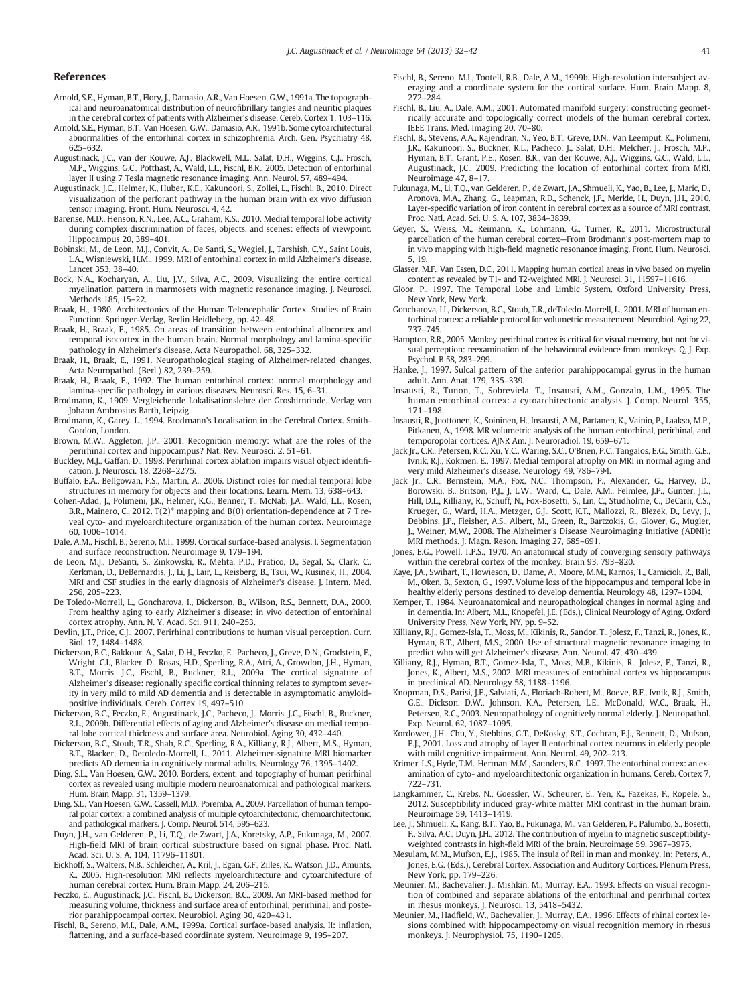#### <span id="page-9-0"></span>References

- Arnold, S.E., Hyman, B.T., Flory, J., Damasio, A.R., Van Hoesen, G.W., 1991a. The topographical and neuroanatomical distribution of neurofibrillary tangles and neuritic plaques in the cerebral cortex of patients with Alzheimer's disease. Cereb. Cortex 1, 103–116.
- Arnold, S.E., Hyman, B.T., Van Hoesen, G.W., Damasio, A.R., 1991b. Some cytoarchitectural abnormalities of the entorhinal cortex in schizophrenia. Arch. Gen. Psychiatry 48, 625–632.
- Augustinack, J.C., van der Kouwe, A.J., Blackwell, M.L., Salat, D.H., Wiggins, C.J., Frosch, M.P., Wiggins, G.C., Potthast, A., Wald, L.L., Fischl, B.R., 2005. Detection of entorhinal layer II using 7 Tesla magnetic resonance imaging. Ann. Neurol. 57, 489–494.
- Augustinack, J.C., Helmer, K., Huber, K.E., Kakunoori, S., Zollei, L., Fischl, B., 2010. Direct visualization of the perforant pathway in the human brain with ex vivo diffusion tensor imaging. Front. Hum. Neurosci. 4, 42.
- Barense, M.D., Henson, R.N., Lee, A.C., Graham, K.S., 2010. Medial temporal lobe activity during complex discrimination of faces, objects, and scenes: effects of viewpoint. Hippocampus 20, 389–401.
- Bobinski, M., de Leon, M.J., Convit, A., De Santi, S., Wegiel, J., Tarshish, C.Y., Saint Louis, L.A., Wisniewski, H.M., 1999. MRI of entorhinal cortex in mild Alzheimer's disease. Lancet 353, 38–40.
- Bock, N.A., Kocharyan, A., Liu, J.V., Silva, A.C., 2009. Visualizing the entire cortical myelination pattern in marmosets with magnetic resonance imaging. J. Neurosci. Methods 185, 15–22.
- Braak, H., 1980. Architectonics of the Human Telencephalic Cortex. Studies of Brain Function. Springer-Verlag, Berlin Heidleberg, pp. 42–48.
- Braak, H., Braak, E., 1985. On areas of transition between entorhinal allocortex and temporal isocortex in the human brain. Normal morphology and lamina-specific pathology in Alzheimer's disease. Acta Neuropathol. 68, 325–332.
- Braak, H., Braak, E., 1991. Neuropathological staging of Alzheimer-related changes. Acta Neuropathol. (Berl.) 82, 239–259.
- Braak, H., Braak, E., 1992. The human entorhinal cortex: normal morphology and lamina-specific pathology in various diseases. Neurosci. Res. 15, 6–31.
- Brodmann, K., 1909. Vergleichende Lokalisationslehre der Groshirnrinde. Verlag von Johann Ambrosius Barth, Leipzig.
- Brodmann, K., Garey, L., 1994. Brodmann's Localisation in the Cerebral Cortex. Smith-Gordon, London.
- Brown, M.W., Aggleton, J.P., 2001. Recognition memory: what are the roles of the perirhinal cortex and hippocampus? Nat. Rev. Neurosci. 2, 51–61.
- Buckley, M.J., Gaffan, D., 1998. Perirhinal cortex ablation impairs visual object identification. J. Neurosci. 18, 2268–2275.
- Buffalo, E.A., Bellgowan, P.S., Martin, A., 2006. Distinct roles for medial temporal lobe structures in memory for objects and their locations. Learn. Mem. 13, 638–643.
- Cohen-Adad, J., Polimeni, J.R., Helmer, K.G., Benner, T., McNab, J.A., Wald, L.L., Rosen, B.R., Mainero, C., 2012. T(2)\* mapping and B(0) orientation-dependence at 7 T reveal cyto- and myeloarchitecture organization of the human cortex. Neuroimage 60, 1006–1014.
- Dale, A.M., Fischl, B., Sereno, M.I., 1999. Cortical surface-based analysis. I. Segmentation and surface reconstruction. Neuroimage 9, 179–194.
- de Leon, M.J., DeSanti, S., Zinkowski, R., Mehta, P.D., Pratico, D., Segal, S., Clark, C., Kerkman, D., DeBernardis, J., Li, J., Lair, L., Reisberg, B., Tsui, W., Rusinek, H., 2004. MRI and CSF studies in the early diagnosis of Alzheimer's disease. J. Intern. Med. 256, 205–223.
- De Toledo-Morrell, L., Goncharova, I., Dickerson, B., Wilson, R.S., Bennett, D.A., 2000. From healthy aging to early Alzheimer's disease: in vivo detection of entorhinal cortex atrophy. Ann. N. Y. Acad. Sci. 911, 240–253.
- Devlin, J.T., Price, C.J., 2007. Perirhinal contributions to human visual perception. Curr. Biol. 17, 1484–1488.
- Dickerson, B.C., Bakkour, A., Salat, D.H., Feczko, E., Pacheco, J., Greve, D.N., Grodstein, F., Wright, C.I., Blacker, D., Rosas, H.D., Sperling, R.A., Atri, A., Growdon, J.H., Hyman, B.T., Morris, J.C., Fischl, B., Buckner, R.L., 2009a. The cortical signature of Alzheimer's disease: regionally specific cortical thinning relates to symptom severity in very mild to mild AD dementia and is detectable in asymptomatic amyloidpositive individuals. Cereb. Cortex 19, 497–510.
- Dickerson, B.C., Feczko, E., Augustinack, J.C., Pacheco, J., Morris, J.C., Fischl, B., Buckner, R.L., 2009b. Differential effects of aging and Alzheimer's disease on medial temporal lobe cortical thickness and surface area. Neurobiol. Aging 30, 432–440.
- Dickerson, B.C., Stoub, T.R., Shah, R.C., Sperling, R.A., Killiany, R.J., Albert, M.S., Hyman, B.T., Blacker, D., Detoledo-Morrell, L., 2011. Alzheimer-signature MRI biomarker predicts AD dementia in cognitively normal adults. Neurology 76, 1395–1402.
- Ding, S.L., Van Hoesen, G.W., 2010. Borders, extent, and topography of human perirhinal cortex as revealed using multiple modern neuroanatomical and pathological markers. Hum. Brain Mapp. 31, 1359–1379.
- Ding, S.L., Van Hoesen, G.W., Cassell, M.D., Poremba, A., 2009. Parcellation of human temporal polar cortex: a combined analysis of multiple cytoarchitectonic, chemoarchitectonic, and pathological markers. J. Comp. Neurol. 514, 595–623.
- Duyn, J.H., van Gelderen, P., Li, T.Q., de Zwart, J.A., Koretsky, A.P., Fukunaga, M., 2007. High-field MRI of brain cortical substructure based on signal phase. Proc. Natl. Acad. Sci. U. S. A. 104, 11796–11801.
- Eickhoff, S., Walters, N.B., Schleicher, A., Kril, J., Egan, G.F., Zilles, K., Watson, J.D., Amunts, K., 2005. High-resolution MRI reflects myeloarchitecture and cytoarchitecture of human cerebral cortex. Hum. Brain Mapp. 24, 206–215.
- Feczko, E., Augustinack, J.C., Fischl, B., Dickerson, B.C., 2009. An MRI-based method for measuring volume, thickness and surface area of entorhinal, perirhinal, and posterior parahippocampal cortex. Neurobiol. Aging 30, 420–431.
- Fischl, B., Sereno, M.I., Dale, A.M., 1999a. Cortical surface-based analysis. II: inflation, flattening, and a surface-based coordinate system. Neuroimage 9, 195–207.
- Fischl, B., Sereno, M.I., Tootell, R.B., Dale, A.M., 1999b. High-resolution intersubject averaging and a coordinate system for the cortical surface. Hum. Brain Mapp. 8, 272–284.
- Fischl, B., Liu, A., Dale, A.M., 2001. Automated manifold surgery: constructing geometrically accurate and topologically correct models of the human cerebral cortex. IEEE Trans. Med. Imaging 20, 70–80.
- Fischl, B., Stevens, A.A., Rajendran, N., Yeo, B.T., Greve, D.N., Van Leemput, K., Polimeni, J.R., Kakunoori, S., Buckner, R.L., Pacheco, J., Salat, D.H., Melcher, J., Frosch, M.P., Hyman, B.T., Grant, P.E., Rosen, B.R., van der Kouwe, A.J., Wiggins, G.C., Wald, L.L., Augustinack, J.C., 2009. Predicting the location of entorhinal cortex from MRI. Neuroimage 47, 8–17.
- Fukunaga, M., Li, T.Q., van Gelderen, P., de Zwart, J.A., Shmueli, K., Yao, B., Lee, J., Maric, D., Aronova, M.A., Zhang, G., Leapman, R.D., Schenck, J.F., Merkle, H., Duyn, J.H., 2010. Layer-specific variation of iron content in cerebral cortex as a source of MRI contrast. Proc. Natl. Acad. Sci. U. S. A. 107, 3834–3839.
- Geyer, S., Weiss, M., Reimann, K., Lohmann, G., Turner, R., 2011. Microstructural parcellation of the human cerebral cortex—From Brodmann's post-mortem map to in vivo mapping with high-field magnetic resonance imaging. Front. Hum. Neurosci. 5, 19.
- Glasser, M.F., Van Essen, D.C., 2011. Mapping human cortical areas in vivo based on myelin content as revealed by T1- and T2-weighted MRI. J. Neurosci. 31, 11597–11616.
- Gloor, P., 1997. The Temporal Lobe and Limbic System. Oxford University Press, New York, New York.
- Goncharova, H. Dickerson, B.C., Stoub, T.R., deToledo-Morrell, L., 2001. MRI of human entorhinal cortex: a reliable protocol for volumetric measurement. Neurobiol. Aging 22, 737–745.
- Hampton, R.R., 2005. Monkey perirhinal cortex is critical for visual memory, but not for visual perception: reexamination of the behavioural evidence from monkeys. Q. J. Exp. Psychol. B 58, 283–299.
- Hanke, J., 1997. Sulcal pattern of the anterior parahippocampal gyrus in the human adult. Ann. Anat. 179, 335–339.
- Insausti, R., Tunon, T., Sobreviela, T., Insausti, A.M., Gonzalo, L.M., 1995. The human entorhinal cortex: a cytoarchitectonic analysis. J. Comp. Neurol. 355, 171–198.
- Insausti, R., Juottonen, K., Soininen, H., Insausti, A.M., Partanen, K., Vainio, P., Laakso, M.P., Pitkanen, A., 1998. MR volumetric analysis of the human entorhinal, perirhinal, and temporopolar cortices. AJNR Am. J. Neuroradiol. 19, 659–671.
- Jack Jr., C.R., Petersen, R.C., Xu, Y.C., Waring, S.C., O'Brien, P.C., Tangalos, E.G., Smith, G.E., Ivnik, R.J., Kokmen, E., 1997. Medial temporal atrophy on MRI in normal aging and very mild Alzheimer's disease. Neurology 49, 786–794.
- Jack Jr., C.R., Bernstein, M.A., Fox, N.C., Thompson, P., Alexander, G., Harvey, D., Borowski, B., Britson, P.J., J, L.W., Ward, C., Dale, A.M., Felmlee, J.P., Gunter, J.L., Hill, D.L., Killiany, R., Schuff, N., Fox-Bosetti, S., Lin, C., Studholme, C., DeCarli, C.S., Krueger, G., Ward, H.A., Metzger, G.J., Scott, K.T., Mallozzi, R., Blezek, D., Levy, J., Debbins, J.P., Fleisher, A.S., Albert, M., Green, R., Bartzokis, G., Glover, G., Mugler, J., Weiner, M.W., 2008. The Alzheimer's Disease Neuroimaging Initiative (ADNI): MRI methods. J. Magn. Reson. Imaging 27, 685–691.
- Jones, E.G., Powell, T.P.S., 1970. An anatomical study of converging sensory pathways within the cerebral cortex of the monkey. Brain 93, 793–820.
- Kaye, J.A., Swihart, T., Howieson, D., Dame, A., Moore, M.M., Karnos, T., Camicioli, R., Ball, M., Oken, B., Sexton, G., 1997. Volume loss of the hippocampus and temporal lobe in healthy elderly persons destined to develop dementia. Neurology 48, 1297–1304.
- Kemper, T., 1984. Neuroanatomical and neuropathological changes in normal aging and in dementia. In: Albert, M.L., Knopefel, J.E. (Eds.), Clinical Neurology of Aging. Oxford University Press, New York, NY, pp. 9–52.
- Killiany, R.J., Gomez-Isla, T., Moss, M., Kikinis, R., Sandor, T., Jolesz, F., Tanzi, R., Jones, K., Hyman, B.T., Albert, M.S., 2000. Use of structural magnetic resonance imaging to predict who will get Alzheimer's disease. Ann. Neurol. 47, 430–439.
- Killiany, R.J., Hyman, B.T., Gomez-Isla, T., Moss, M.B., Kikinis, R., Jolesz, F., Tanzi, R., Jones, K., Albert, M.S., 2002. MRI measures of entorhinal cortex vs hippocampus in preclinical AD. Neurology 58, 1188–1196.
- Knopman, D.S., Parisi, J.E., Salviati, A., Floriach-Robert, M., Boeve, B.F., Ivnik, R.J., Smith, G.E., Dickson, D.W., Johnson, K.A., Petersen, L.E., McDonald, W.C., Braak, H., Petersen, R.C., 2003. Neuropathology of cognitively normal elderly. J. Neuropathol. Exp. Neurol. 62, 1087–1095.
- Kordower, J.H., Chu, Y., Stebbins, G.T., DeKosky, S.T., Cochran, E.J., Bennett, D., Mufson, E.J., 2001. Loss and atrophy of layer II entorhinal cortex neurons in elderly people with mild cognitive impairment. Ann. Neurol. 49, 202–213.
- Krimer, L.S., Hyde, T.M., Herman, M.M., Saunders, R.C., 1997. The entorhinal cortex: an examination of cyto- and myeloarchitectonic organization in humans. Cereb. Cortex 7, 722–731.
- Langkammer, C., Krebs, N., Goessler, W., Scheurer, E., Yen, K., Fazekas, F., Ropele, S., 2012. Susceptibility induced gray-white matter MRI contrast in the human brain. Neuroimage 59, 1413–1419.
- Lee, J., Shmueli, K., Kang, B.T., Yao, B., Fukunaga, M., van Gelderen, P., Palumbo, S., Bosetti, F., Silva, A.C., Duyn, J.H., 2012. The contribution of myelin to magnetic susceptibilityweighted contrasts in high-field MRI of the brain. Neuroimage 59, 3967–3975.
- Mesulam, M.M., Mufson, E.J., 1985. The insula of Reil in man and monkey. In: Peters, A., Jones, E.G. (Eds.), Cerebral Cortex, Association and Auditory Cortices. Plenum Press, New York, pp. 179–226.
- Meunier, M., Bachevalier, J., Mishkin, M., Murray, E.A., 1993. Effects on visual recognition of combined and separate ablations of the entorhinal and perirhinal cortex in rhesus monkeys. J. Neurosci. 13, 5418–5432.
- Meunier, M., Hadfield, W., Bachevalier, J., Murray, E.A., 1996. Effects of rhinal cortex lesions combined with hippocampectomy on visual recognition memory in rhesus monkeys. J. Neurophysiol. 75, 1190–1205.